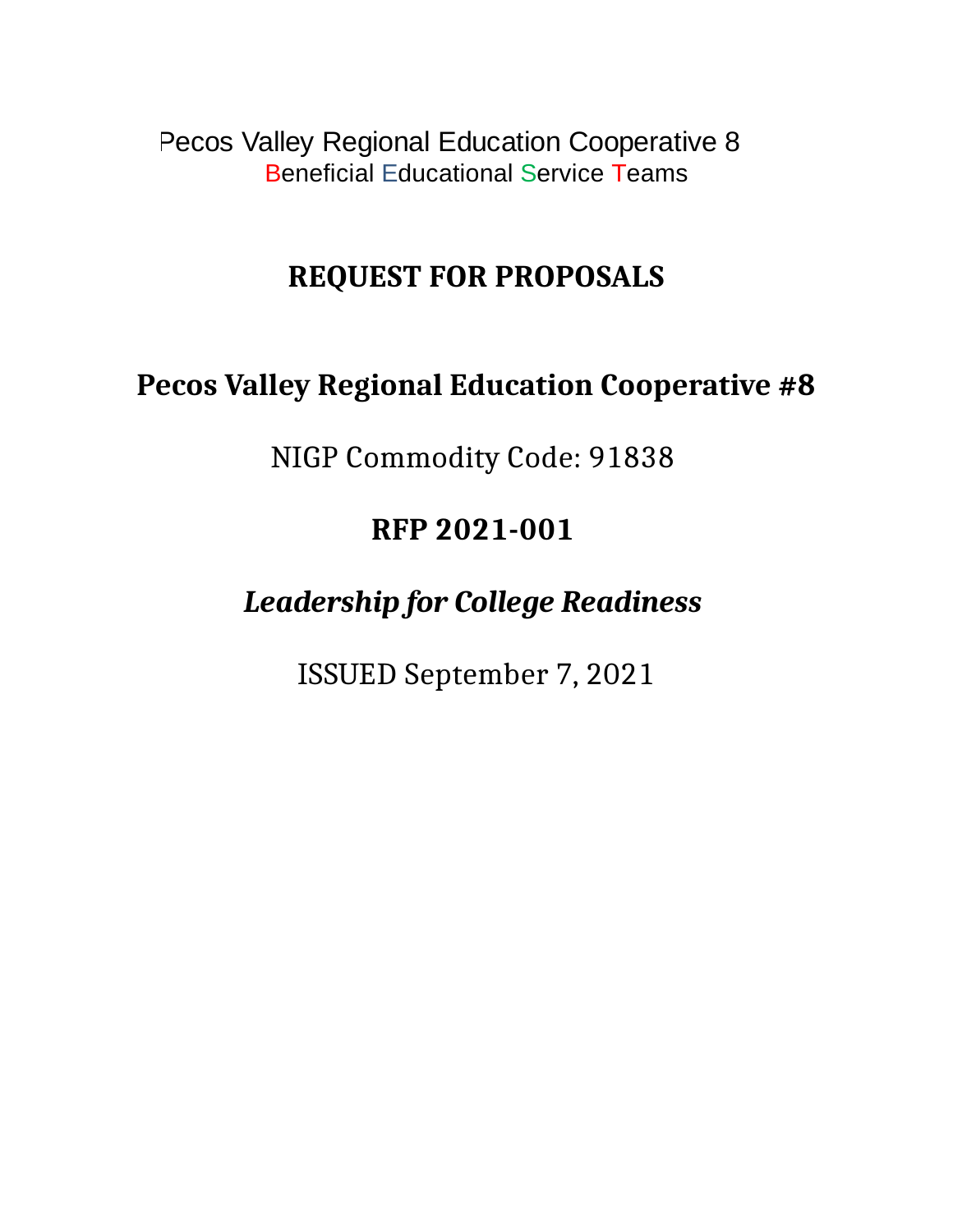Pecos Valley Regional Education Cooperative 8 Beneficial Educational Service Teams

# **REQUEST FOR PROPOSALS**

# **Pecos Valley Regional Education Cooperative #8**

NIGP Commodity Code: 91838

# **RFP 2021-001**

# *Leadership for College Readiness*

ISSUED September 7, 2021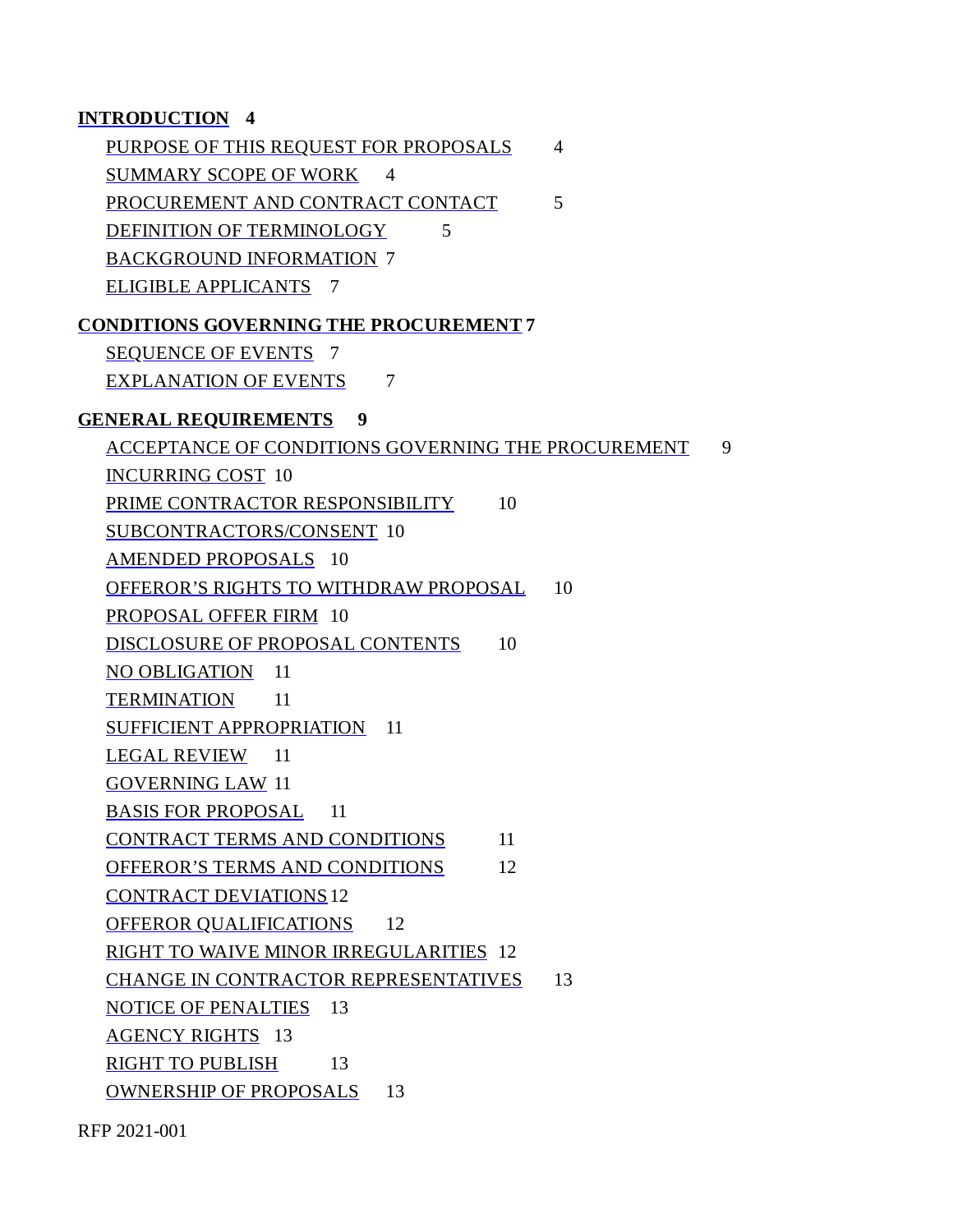#### **INTRODUCTION 4**

PURPOSE OF THIS REQUEST FOR PROPOSALS 4 SUMMARY SCOPE OF WORK 4 PROCUREMENT AND CONTRACT CONTACT 5 DEFINITION OF TERMINOLOGY 5 BACKGROUND INFORMATION 7 ELIGIBLE APPLICANTS 7

#### **CONDITIONS GOVERNING THE PROCUREMENT 7**

SEQUENCE OF EVENTS 7

EXPLANATION OF EVENTS 7

#### **GENERAL REQUIREMENTS 9**

ACCEPTANCE OF CONDITIONS GOVERNING THE PROCUREMENT 9 INCURRING COST 10 PRIME CONTRACTOR RESPONSIBILITY 10 SUBCONTRACTORS/CONSENT 10 AMENDED PROPOSALS 10 OFFEROR'S RIGHTS TO WITHDRAW PROPOSAL 10 PROPOSAL OFFER FIRM 10 DISCLOSURE OF PROPOSAL CONTENTS 10 NO OBLIGATION 11 TERMINATION 11 SUFFICIENT APPROPRIATION 11 LEGAL REVIEW 11 GOVERNING LAW 11 BASIS FOR PROPOSAL 11 CONTRACT TERMS AND CONDITIONS 11 OFFEROR'S TERMS AND CONDITIONS 12 CONTRACT DEVIATIONS12 OFFEROR QUALIFICATIONS 12 RIGHT TO WAIVE MINOR IRREGULARITIES 12 CHANGE IN CONTRACTOR REPRESENTATIVES 13 NOTICE OF PENALTIES 13 AGENCY RIGHTS 13 RIGHT TO PUBLISH 13 OWNERSHIP OF PROPOSALS 13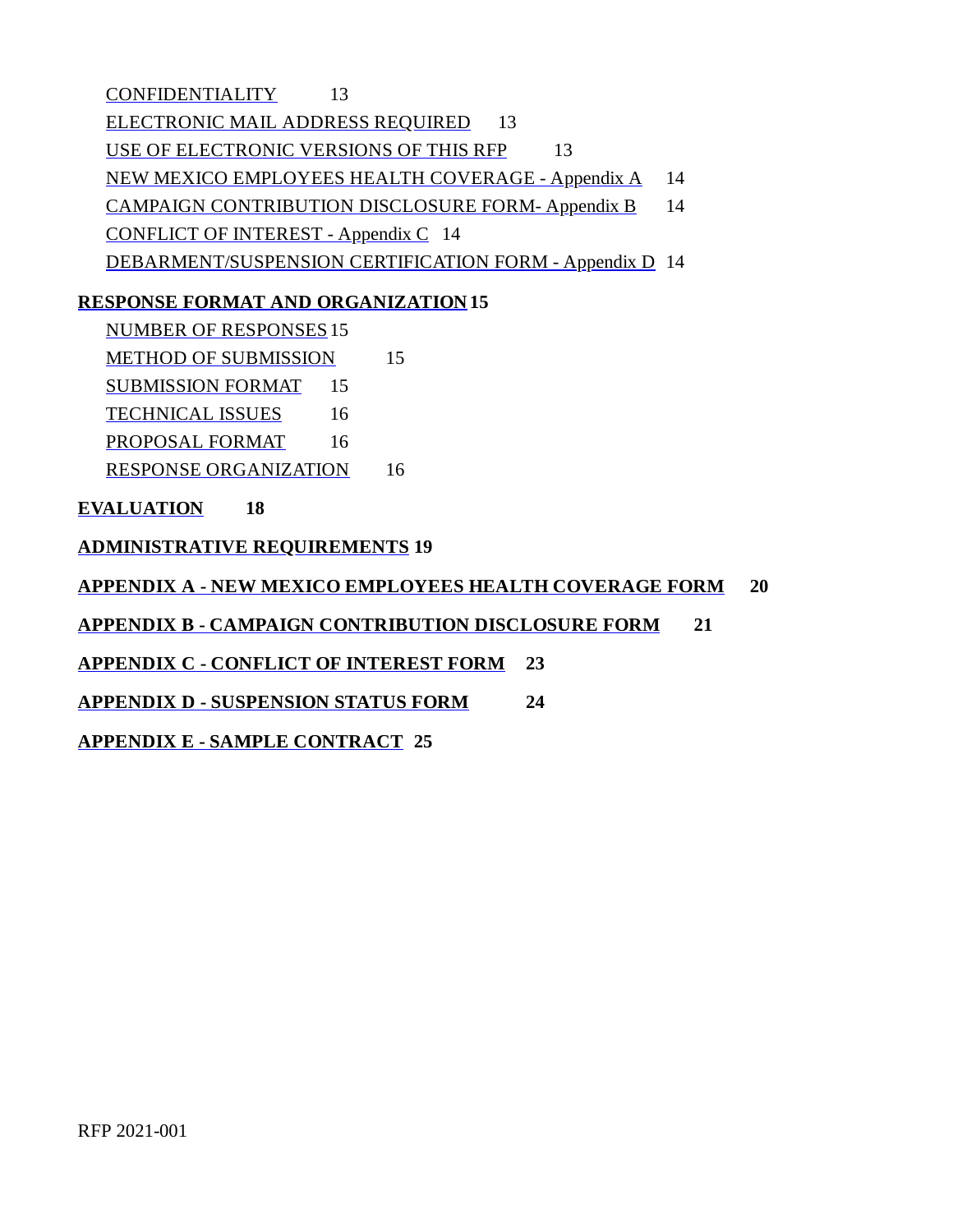CONFIDENTIALITY 13 ELECTRONIC MAIL ADDRESS REQUIRED 13 USE OF ELECTRONIC VERSIONS OF THIS RFP 13 NEW MEXICO EMPLOYEES HEALTH COVERAGE - Appendix A 14 CAMPAIGN CONTRIBUTION DISCLOSURE FORM-Appendix B 14 CONFLICT OF INTEREST - Appendix C 14 DEBARMENT/SUSPENSION CERTIFICATION FORM - Appendix D 14

#### **RESPONSE FORMAT AND ORGANIZATION 15**

NUMBER OF RESPONSES15 METHOD OF SUBMISSION 15 SUBMISSION FORMAT 15 TECHNICAL ISSUES 16 PROPOSAL FORMAT 16 RESPONSE ORGANIZATION 16

**EVALUATION 18**

**ADMINISTRATIVE REQUIREMENTS 19**

**APPENDIX A - NEW MEXICO EMPLOYEES HEALTH COVERAGE FORM 20**

**APPENDIX B - CAMPAIGN CONTRIBUTION DISCLOSURE FORM 21**

**APPENDIX C - CONFLICT OF INTEREST FORM 23**

**APPENDIX D - SUSPENSION STATUS FORM 24**

**APPENDIX E - SAMPLE CONTRACT 25**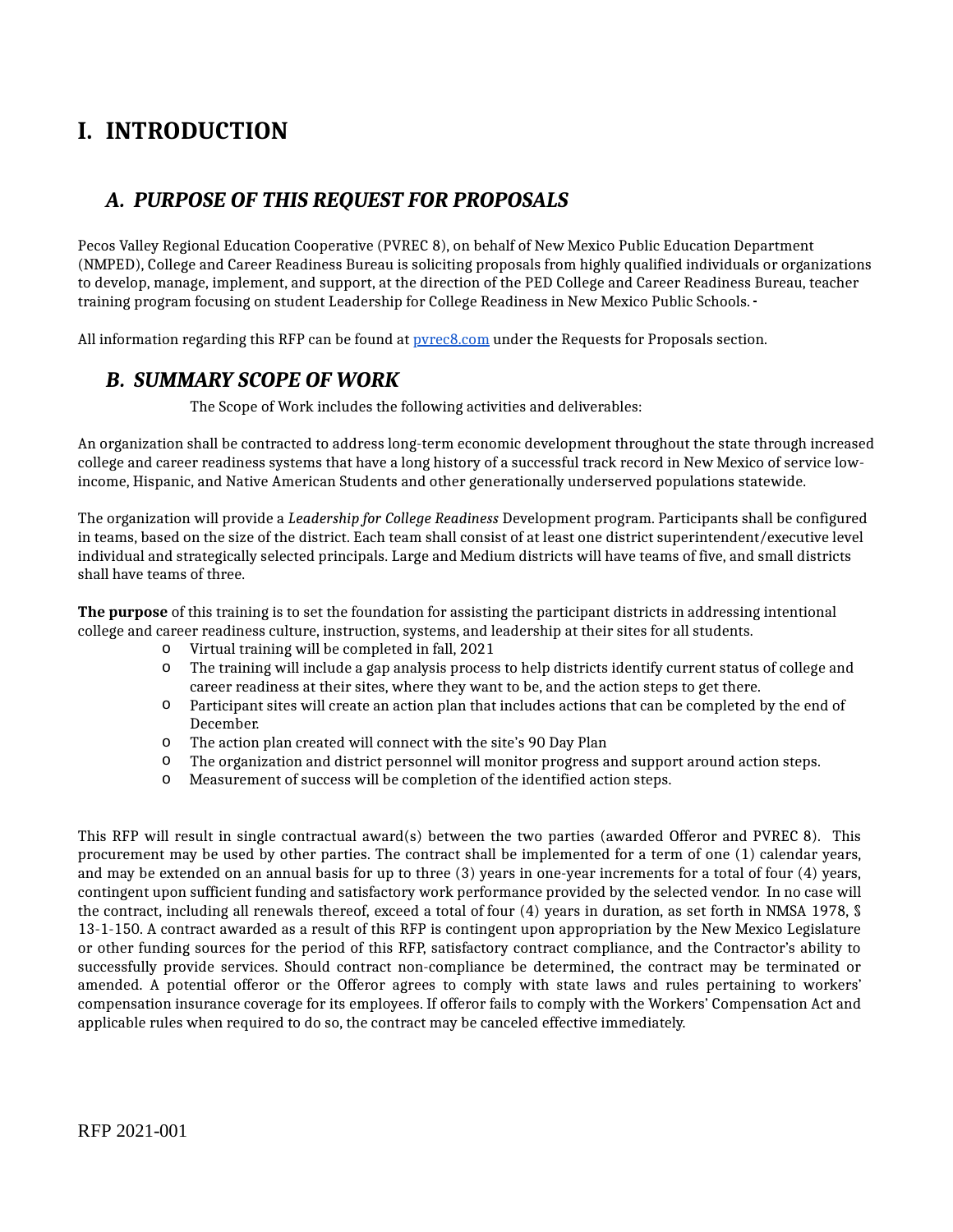# **I. INTRODUCTION**

### *A. PURPOSE OF THIS REQUEST FOR PROPOSALS*

Pecos Valley Regional Education Cooperative (PVREC 8), on behalf of New Mexico Public Education Department (NMPED), College and Career Readiness Bureau is soliciting proposals from highly qualified individuals or organizations to develop, manage, implement, and support, at the direction of the PED College and Career Readiness Bureau, teacher training program focusing on student Leadership for College Readiness in New Mexico Public Schools.

All information regarding this RFP can be found at **pyrec8.com** under the Requests for Proposals section.

#### *B. SUMMARY SCOPE OF WORK*

The Scope of Work includes the following activities and deliverables:

An organization shall be contracted to address long-term economic development throughout the state through increased college and career readiness systems that have a long history of a successful track record in New Mexico of service lowincome, Hispanic, and Native American Students and other generationally underserved populations statewide.

The organization will provide a *Leadership for College Readiness* Development program. Participants shall be configured in teams, based on the size of the district. Each team shall consist of at least one district superintendent/executive level individual and strategically selected principals. Large and Medium districts will have teams of five, and small districts shall have teams of three.

**The purpose** of this training is to set the foundation for assisting the participant districts in addressing intentional college and career readiness culture, instruction, systems, and leadership at their sites for all students.

- o Virtual training will be completed in fall, 2021
- The training will include a gap analysis process to help districts identify current status of college and career readiness at their sites, where they want to be, and the action steps to get there. o
- Participant sites will create an action plan that includes actions that can be completed by the end of o December.
- o The action plan created will connect with the site's 90 Day Plan
- o The organization and district personnel will monitor progress and support around action steps.
- o Measurement of success will be completion of the identified action steps.

This RFP will result in single contractual award(s) between the two parties (awarded Offeror and PVREC 8). This procurement may be used by other parties. The contract shall be implemented for a term of one (1) calendar years, and may be extended on an annual basis for up to three (3) years in one-year increments for a total of four (4) years, contingent upon sufficient funding and satisfactory work performance provided by the selected vendor. In no case will the contract, including all renewals thereof, exceed a total of four (4) years in duration, as set forth in NMSA 1978, § 13-1-150. A contract awarded as a result of this RFP is contingent upon appropriation by the New Mexico Legislature or other funding sources for the period of this RFP, satisfactory contract compliance, and the Contractor's ability to successfully provide services. Should contract non-compliance be determined, the contract may be terminated or amended. A potential offeror or the Offeror agrees to comply with state laws and rules pertaining to workers' compensation insurance coverage for its employees. If offeror fails to comply with the Workers' Compensation Act and applicable rules when required to do so, the contract may be canceled effective immediately.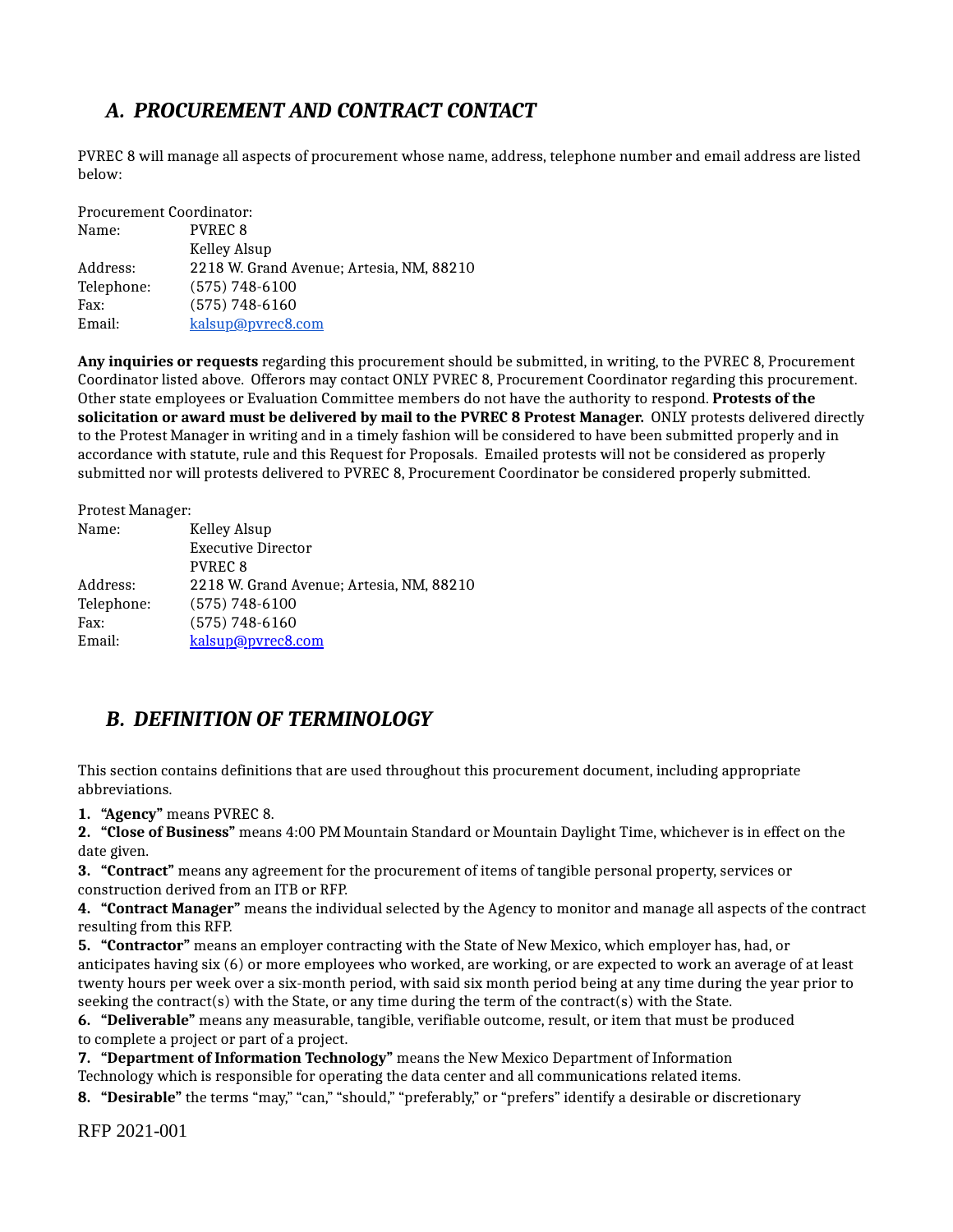# *A. PROCUREMENT AND CONTRACT CONTACT*

PVREC 8 will manage all aspects of procurement whose name, address, telephone number and email address are listed below:

Procurement Coordinator:

| Name:      | <b>PVREC 8</b>                           |
|------------|------------------------------------------|
|            | Kelley Alsup                             |
| Address:   | 2218 W. Grand Avenue; Artesia, NM, 88210 |
| Telephone: | $(575) 748 - 6100$                       |
| Fax:       | $(575) 748 - 6160$                       |
| Email:     | kalsup@pvrec8.com                        |
|            |                                          |

**Any inquiries or requests** regarding this procurement should be submitted, in writing, to the PVREC 8, Procurement Coordinator listed above. Offerors may contact ONLY PVREC 8, Procurement Coordinator regarding this procurement. Other state employees or Evaluation Committee members do not have the authority to respond. **Protests of the solicitation or award must be delivered by mail to the PVREC 8 Protest Manager.** ONLY protests delivered directly to the Protest Manager in writing and in a timely fashion will be considered to have been submitted properly and in accordance with statute, rule and this Request for Proposals. Emailed protests will not be considered as properly submitted nor will protests delivered to PVREC 8, Procurement Coordinator be considered properly submitted.

Protest Manager:

| Name:      | Kelley Alsup                             |
|------------|------------------------------------------|
|            | <b>Executive Director</b>                |
|            | PVREC <sub>8</sub>                       |
| Address:   | 2218 W. Grand Avenue; Artesia, NM, 88210 |
| Telephone: | $(575) 748 - 6100$                       |
| Fax:       | $(575) 748 - 6160$                       |
| Email:     | kalsup@pvrec8.com                        |

### *B. DEFINITION OF TERMINOLOGY*

This section contains definitions that are used throughout this procurement document, including appropriate abbreviations.

**1. "Agency"** means PVREC 8.

**2. "Close of Business"** means 4:00 PM Mountain Standard or Mountain Daylight Time, whichever is in effect on the date given.

**3. "Contract"** means any agreement for the procurement of items of tangible personal property, services or construction derived from an ITB or RFP.

**4. "Contract Manager"** means the individual selected by the Agency to monitor and manage all aspects of the contract resulting from this RFP.

**5. "Contractor"** means an employer contracting with the State of New Mexico, which employer has, had, or anticipates having six (6) or more employees who worked, are working, or are expected to work an average of at least twenty hours per week over a six-month period, with said six month period being at any time during the year prior to seeking the contract(s) with the State, or any time during the term of the contract(s) with the State.

**6. "Deliverable"** means any measurable, tangible, verifiable outcome, result, or item that must be produced to complete a project or part of a project.

**7. "Department of Information Technology"** means the New Mexico Department of Information Technology which is responsible for operating the data center and all communications related items.

**8. "Desirable"** the terms "may," "can," "should," "preferably," or "prefers" identify a desirable or discretionary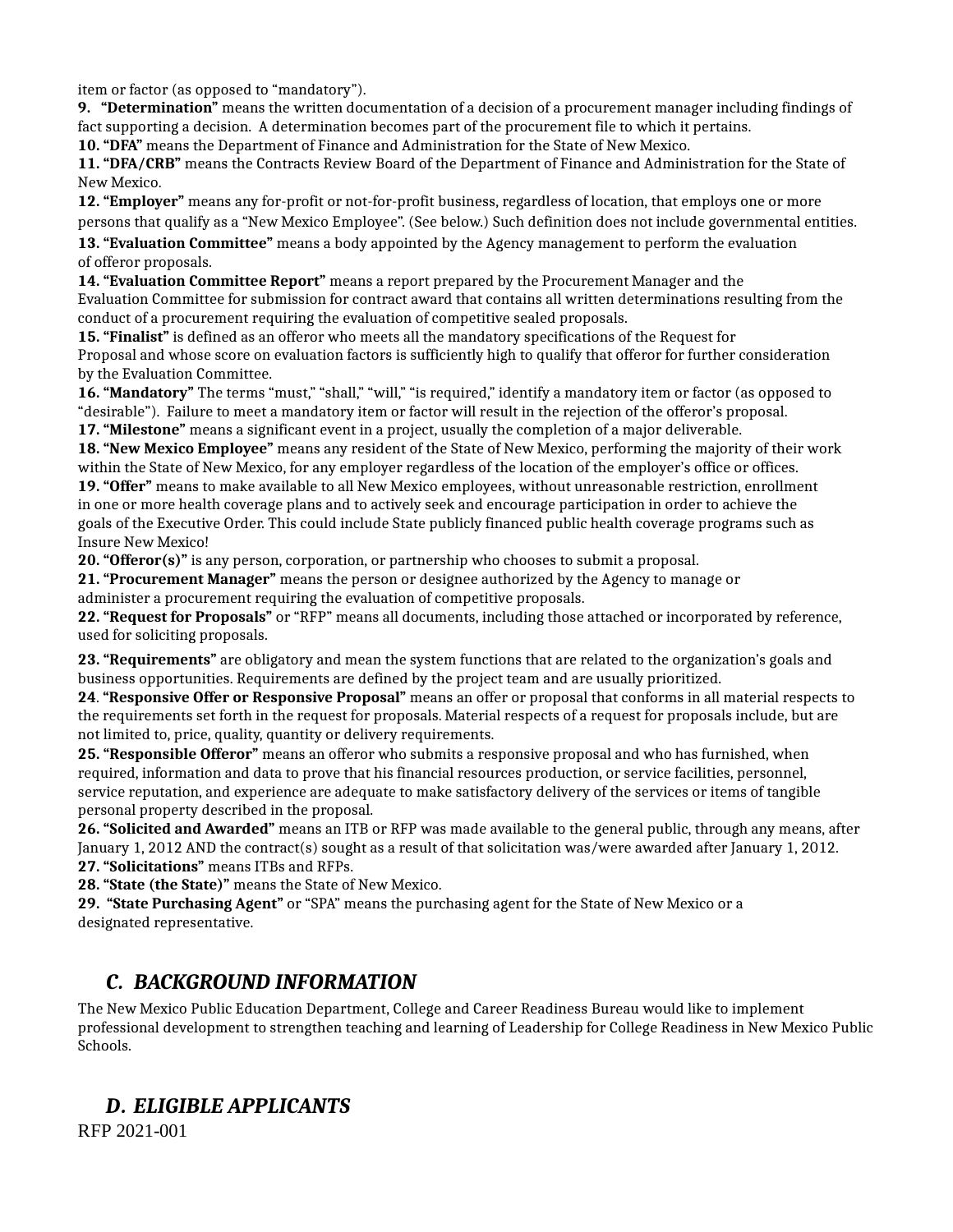item or factor (as opposed to "mandatory").

**9. "Determination"** means the written documentation of a decision of a procurement manager including findings of fact supporting a decision. A determination becomes part of the procurement file to which it pertains. **10. "DFA"** means the Department of Finance and Administration for the State of New Mexico.

**11. "DFA/CRB"** means the Contracts Review Board of the Department of Finance and Administration for the State of New Mexico.

**12. "Employer"** means any for-profit or not-for-profit business, regardless of location, that employs one or more persons that qualify as a "New Mexico Employee". (See below.) Such definition does not include governmental entities.

**13. "Evaluation Committee"** means a body appointed by the Agency management to perform the evaluation of offeror proposals.

**14. "Evaluation Committee Report"** means a report prepared by the Procurement Manager and the Evaluation Committee for submission for contract award that contains all written determinations resulting from the conduct of a procurement requiring the evaluation of competitive sealed proposals.

**15. "Finalist"** is defined as an offeror who meets all the mandatory specifications of the Request for Proposal and whose score on evaluation factors is sufficiently high to qualify that offeror for further consideration by the Evaluation Committee.

**16. "Mandatory"** The terms "must," "shall," "will," "is required," identify a mandatory item or factor (as opposed to "desirable"). Failure to meet a mandatory item or factor will result in the rejection of the offeror's proposal. **17. "Milestone"** means a significant event in a project, usually the completion of a major deliverable.

**18. "New Mexico Employee"** means any resident of the State of New Mexico, performing the majority of their work within the State of New Mexico, for any employer regardless of the location of the employer's office or offices. **19. "Offer"** means to make available to all New Mexico employees, without unreasonable restriction, enrollment

in one or more health coverage plans and to actively seek and encourage participation in order to achieve the goals of the Executive Order. This could include State publicly financed public health coverage programs such as Insure New Mexico!

**20. "Offeror(s)"** is any person, corporation, or partnership who chooses to submit a proposal.

**21. "Procurement Manager"** means the person or designee authorized by the Agency to manage or administer a procurement requiring the evaluation of competitive proposals.

**22. "Request for Proposals"** or "RFP" means all documents, including those attached or incorporated by reference, used for soliciting proposals.

**23. "Requirements"** are obligatory and mean the system functions that are related to the organization's goals and business opportunities. Requirements are defined by the project team and are usually prioritized.

**24**. **"Responsive Offer or Responsive Proposal"** means an offer or proposal that conforms in all material respects to the requirements set forth in the request for proposals. Material respects of a request for proposals include, but are not limited to, price, quality, quantity or delivery requirements.

**25. "Responsible Offeror"** means an offeror who submits a responsive proposal and who has furnished, when required, information and data to prove that his financial resources production, or service facilities, personnel, service reputation, and experience are adequate to make satisfactory delivery of the services or items of tangible personal property described in the proposal.

**26. "Solicited and Awarded"** means an ITB or RFP was made available to the general public, through any means, after January 1, 2012 AND the contract(s) sought as a result of that solicitation was/were awarded after January 1, 2012. **27. "Solicitations"** means ITBs and RFPs.

**28. "State (the State)"** means the State of New Mexico.

**29. "State Purchasing Agent"** or "SPA" means the purchasing agent for the State of New Mexico or a designated representative.

### *C. BACKGROUND INFORMATION*

The New Mexico Public Education Department, College and Career Readiness Bureau would like to implement professional development to strengthen teaching and learning of Leadership for College Readiness in New Mexico Public Schools.

### *D. ELIGIBLE APPLICANTS*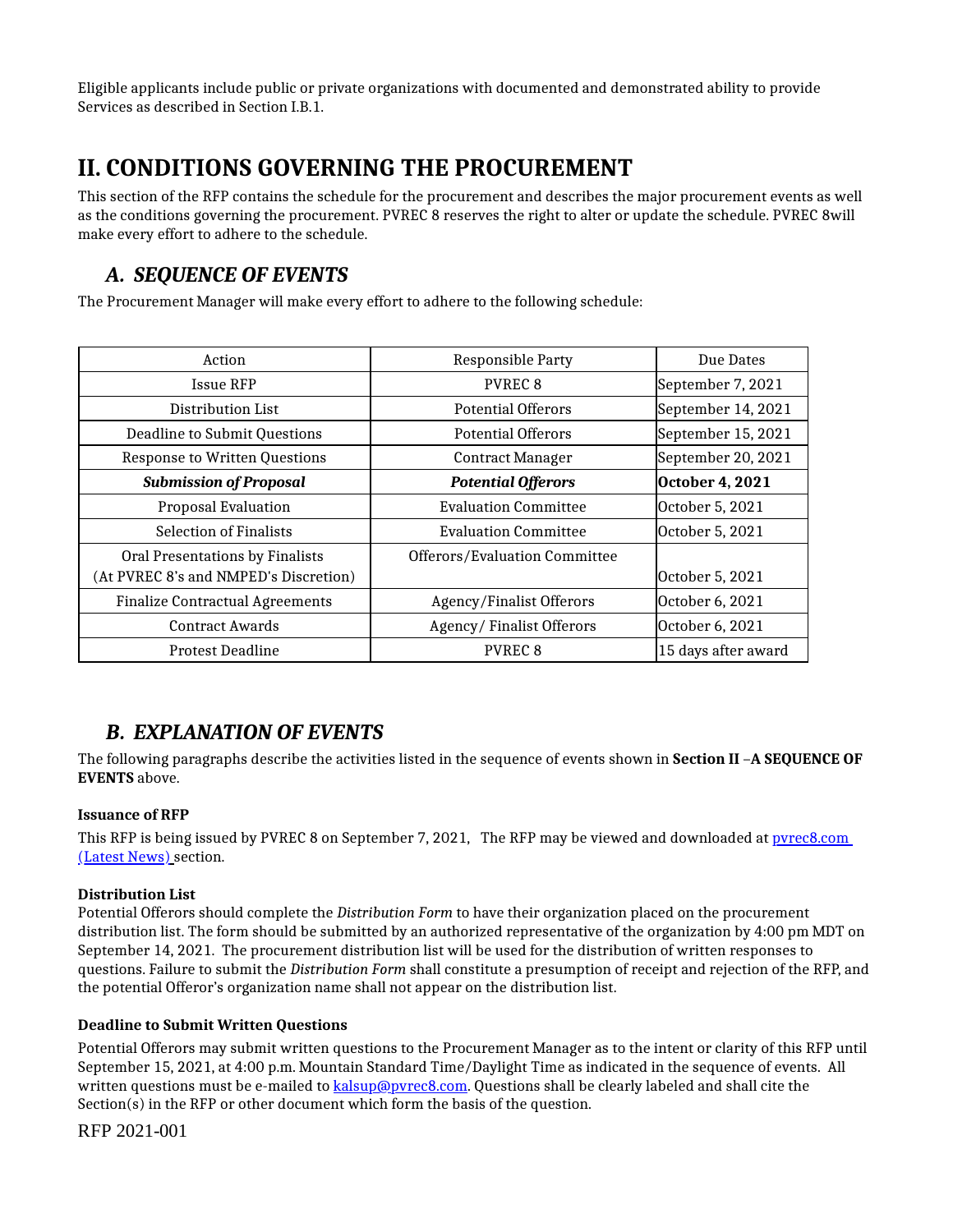Eligible applicants include public or private organizations with documented and demonstrated ability to provide Services as described in Section I.B.1.

# **II. CONDITIONS GOVERNING THE PROCUREMENT**

This section of the RFP contains the schedule for the procurement and describes the major procurement events as well as the conditions governing the procurement. PVREC 8 reserves the right to alter or update the schedule. PVREC 8will make every effort to adhere to the schedule.

## *A. SEQUENCE OF EVENTS*

The Procurement Manager will make every effort to adhere to the following schedule:

| Action                                 | Responsible Party               | Due Dates           |
|----------------------------------------|---------------------------------|---------------------|
| Issue RFP                              | <b>PVREC 8</b>                  | September 7, 2021   |
| Distribution List                      | <b>Potential Offerors</b>       | September 14, 2021  |
| Deadline to Submit Questions           | <b>Potential Offerors</b>       | September 15, 2021  |
| <b>Response to Written Questions</b>   | <b>Contract Manager</b>         | September 20, 2021  |
| <b>Submission of Proposal</b>          | <b>Potential Offerors</b>       | October 4, 2021     |
| <b>Proposal Evaluation</b>             | <b>Evaluation Committee</b>     | October 5, 2021     |
| <b>Selection of Finalists</b>          | <b>Evaluation Committee</b>     | October 5, 2021     |
| Oral Presentations by Finalists        | Offerors/Evaluation Committee   |                     |
| (At PVREC 8's and NMPED's Discretion)  |                                 | October 5, 2021     |
| <b>Finalize Contractual Agreements</b> | <b>Agency/Finalist Offerors</b> | October 6, 2021     |
| <b>Contract Awards</b>                 | Agency/Finalist Offerors        | October 6, 2021     |
| <b>Protest Deadline</b>                | <b>PVREC 8</b>                  | 15 days after award |

### *B. EXPLANATION OF EVENTS*

The following paragraphs describe the activities listed in the sequence of events shown in **Section II** –**A SEQUENCE OF EVENTS** above.

#### **Issuance of RFP**

This RFP is being issued by PVREC 8 on September 7, 2021, The RFP may be viewed and downloaded at pvrec8.com (Latest News) section.

#### **Distribution List**

Potential Offerors should complete the *Distribution Form* to have their organization placed on the procurement distribution list. The form should be submitted by an authorized representative of the organization by 4:00 pm MDT on September 14, 2021. The procurement distribution list will be used for the distribution of written responses to questions. Failure to submit the *Distribution Form* shall constitute a presumption of receipt and rejection of the RFP, and the potential Offeror's organization name shall not appear on the distribution list.

#### **Deadline to Submit Written Questions**

Potential Offerors may submit written questions to the Procurement Manager as to the intent or clarity of this RFP until September 15, 2021, at 4:00 p.m. Mountain Standard Time/Daylight Time as indicated in the sequence of events. All written questions must be e-mailed to [kalsup@pvrec8.com.](http://kalsup@pvrec8.com/) Questions shall be clearly labeled and shall cite the Section(s) in the RFP or other document which form the basis of the question.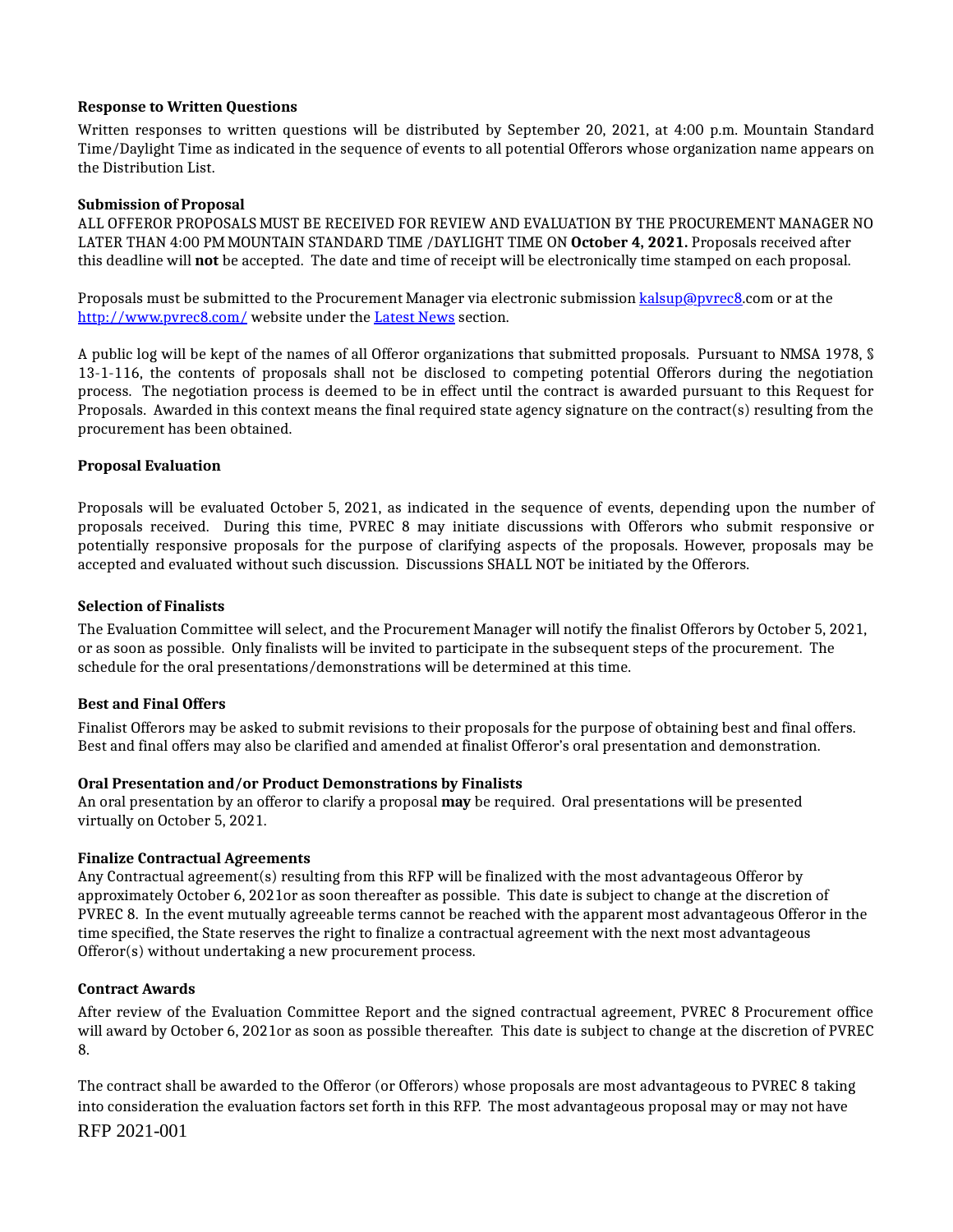#### **Response to Written Questions**

Written responses to written questions will be distributed by September 20, 2021, at 4:00 p.m. Mountain Standard Time/Daylight Time as indicated in the sequence of events to all potential Offerors whose organization name appears on the Distribution List.

#### **Submission of Proposal**

ALL OFFEROR PROPOSALS MUST BE RECEIVED FOR REVIEW AND EVALUATION BY THE PROCUREMENT MANAGER NO LATER THAN 4:00 PM MOUNTAIN STANDARD TIME /DAYLIGHT TIME ON **October 4, 2021.** Proposals received after this deadline will **not** be accepted. The date and time of receipt will be electronically time stamped on each proposal.

Proposals must be submitted to the Procurement Manager via electronic submission kalsup@pvrec8.com or at the <http://www.pvrec8.com/> website under the Latest News section.

A public log will be kept of the names of all Offeror organizations that submitted proposals. Pursuant to NMSA 1978, § 13-1-116, the contents of proposals shall not be disclosed to competing potential Offerors during the negotiation process. The negotiation process is deemed to be in effect until the contract is awarded pursuant to this Request for Proposals. Awarded in this context means the final required state agency signature on the contract(s) resulting from the procurement has been obtained.

#### **Proposal Evaluation**

Proposals will be evaluated October 5, 2021, as indicated in the sequence of events, depending upon the number of proposals received. During this time, PVREC 8 may initiate discussions with Offerors who submit responsive or potentially responsive proposals for the purpose of clarifying aspects of the proposals. However, proposals may be accepted and evaluated without such discussion. Discussions SHALL NOT be initiated by the Offerors.

#### **Selection of Finalists**

The Evaluation Committee will select, and the Procurement Manager will notify the finalist Offerors by October 5, 2021, or as soon as possible. Only finalists will be invited to participate in the subsequent steps of the procurement. The schedule for the oral presentations/demonstrations will be determined at this time.

#### **Best and Final Offers**

Finalist Offerors may be asked to submit revisions to their proposals for the purpose of obtaining best and final offers. Best and final offers may also be clarified and amended at finalist Offeror's oral presentation and demonstration.

#### **Oral Presentation and/or Product Demonstrations by Finalists**

An oral presentation by an offeror to clarify a proposal **may** be required. Oral presentations will be presented virtually on October 5, 2021.

#### **Finalize Contractual Agreements**

Any Contractual agreement(s) resulting from this RFP will be finalized with the most advantageous Offeror by approximately October 6, 2021or as soon thereafter as possible. This date is subject to change at the discretion of PVREC 8. In the event mutually agreeable terms cannot be reached with the apparent most advantageous Offeror in the time specified, the State reserves the right to finalize a contractual agreement with the next most advantageous Offeror(s) without undertaking a new procurement process.

#### **Contract Awards**

After review of the Evaluation Committee Report and the signed contractual agreement, PVREC 8 Procurement office will award by October 6, 2021or as soon as possible thereafter. This date is subject to change at the discretion of PVREC 8.

The contract shall be awarded to the Offeror (or Offerors) whose proposals are most advantageous to PVREC 8 taking into consideration the evaluation factors set forth in this RFP. The most advantageous proposal may or may not have RFP 2021-001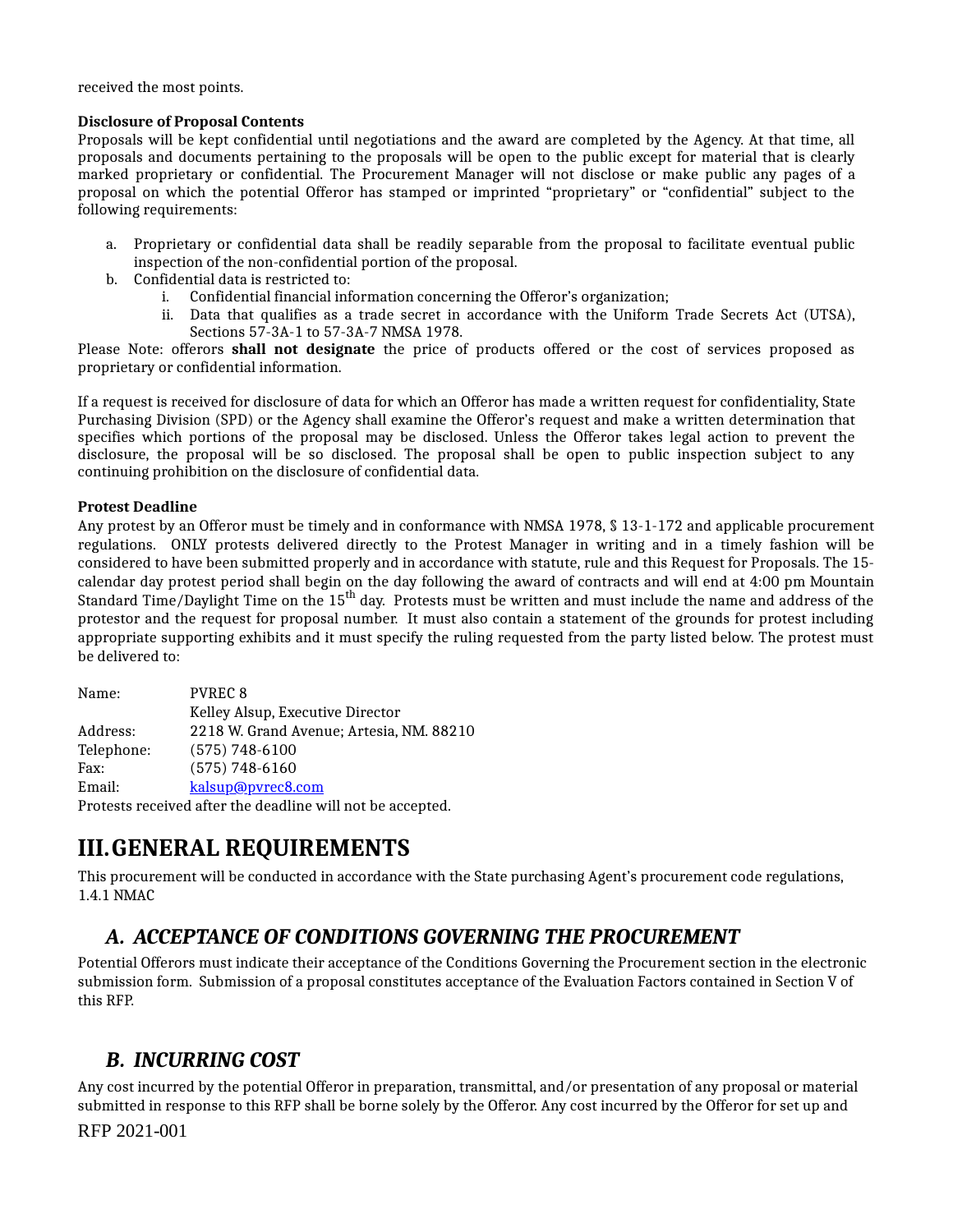received the most points.

#### **Disclosure of Proposal Contents**

Proposals will be kept confidential until negotiations and the award are completed by the Agency. At that time, all proposals and documents pertaining to the proposals will be open to the public except for material that is clearly marked proprietary or confidential. The Procurement Manager will not disclose or make public any pages of a proposal on which the potential Offeror has stamped or imprinted "proprietary" or "confidential" subject to the following requirements:

- a. Proprietary or confidential data shall be readily separable from the proposal to facilitate eventual public inspection of the non-confidential portion of the proposal.
- b. Confidential data is restricted to:
	- i. Confidential financial information concerning the Offeror's organization;
	- Data that qualifies as a trade secret in accordance with the Uniform Trade Secrets Act (UTSA), ii. Sections 57-3A-1 to 57-3A-7 NMSA 1978.

Please Note: offerors **shall not designate** the price of products offered or the cost of services proposed as proprietary or confidential information.

If a request is received for disclosure of data for which an Offeror has made a written request for confidentiality, State Purchasing Division (SPD) or the Agency shall examine the Offeror's request and make a written determination that specifies which portions of the proposal may be disclosed. Unless the Offeror takes legal action to prevent the disclosure, the proposal will be so disclosed. The proposal shall be open to public inspection subject to any continuing prohibition on the disclosure of confidential data.

#### **Protest Deadline**

Any protest by an Offeror must be timely and in conformance with NMSA 1978, § 13-1-172 and applicable procurement regulations. ONLY protests delivered directly to the Protest Manager in writing and in a timely fashion will be considered to have been submitted properly and in accordance with statute, rule and this Request for Proposals. The 15 calendar day protest period shall begin on the day following the award of contracts and will end at 4:00 pm Mountain Standard Time/Daylight Time on the 15<sup>th</sup> day. Protests must be written and must include the name and address of the protestor and the request for proposal number. It must also contain a statement of the grounds for protest including appropriate supporting exhibits and it must specify the ruling requested from the party listed below. The protest must be delivered to:

| Name:      | <b>PVREC 8</b>                                             |
|------------|------------------------------------------------------------|
|            | Kelley Alsup, Executive Director                           |
| Address:   | 2218 W. Grand Avenue; Artesia, NM. 88210                   |
| Telephone: | $(575) 748 - 6100$                                         |
| Fax:       | $(575) 748 - 6160$                                         |
| Email:     | kalsup@pvrec8.com                                          |
|            | Protests received after the deadline will not be accepted. |

**III.GENERAL REQUIREMENTS**

This procurement will be conducted in accordance with the State purchasing Agent's procurement code regulations, 1.4.1 NMAC

### *A. ACCEPTANCE OF CONDITIONS GOVERNING THE PROCUREMENT*

Potential Offerors must indicate their acceptance of the Conditions Governing the Procurement section in the electronic submission form. Submission of a proposal constitutes acceptance of the Evaluation Factors contained in Section V of this RFP.

### *B. INCURRING COST*

Any cost incurred by the potential Offeror in preparation, transmittal, and/or presentation of any proposal or material submitted in response to this RFP shall be borne solely by the Offeror. Any cost incurred by the Offeror for set up and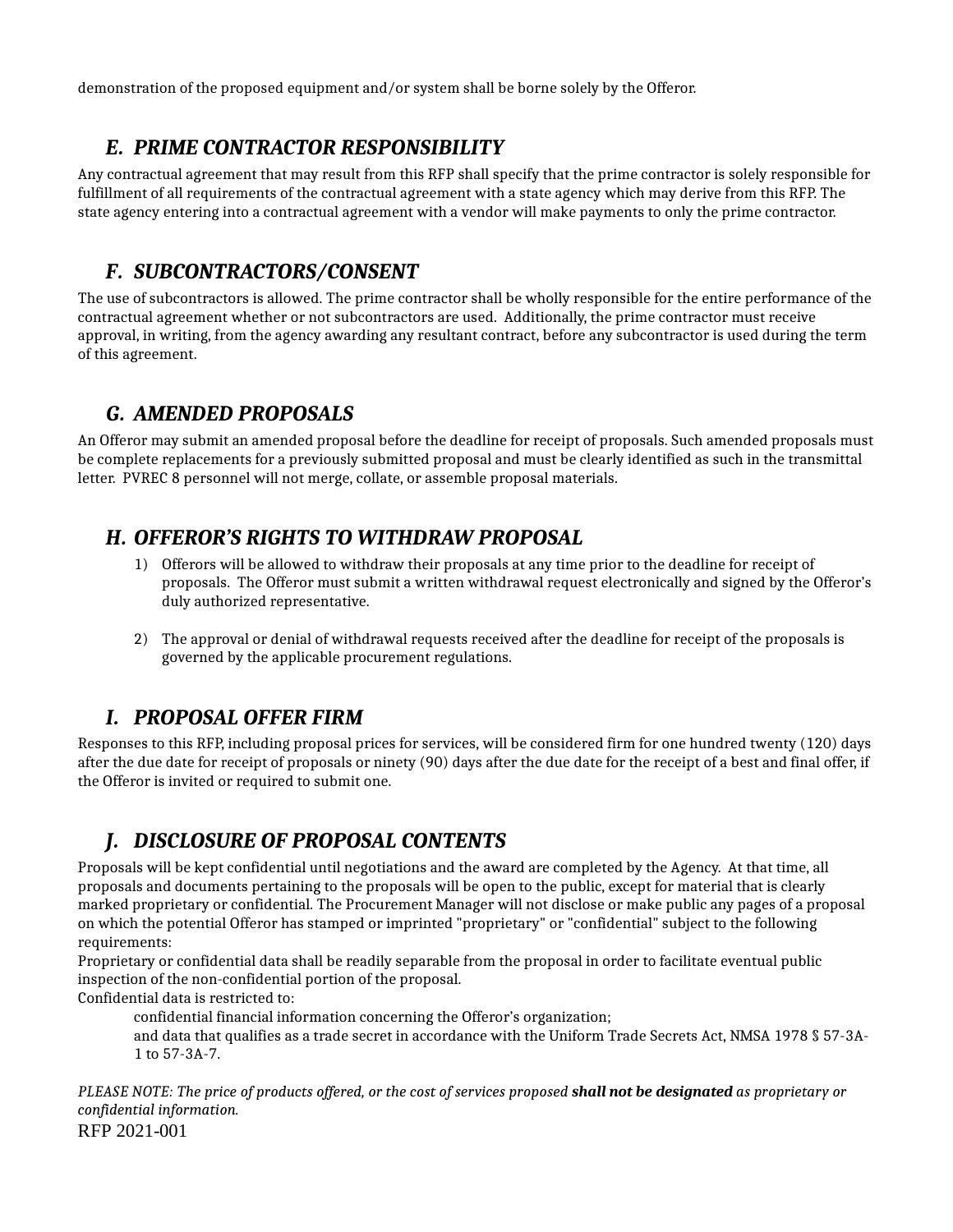demonstration of the proposed equipment and/or system shall be borne solely by the Offeror.

## *E. PRIME CONTRACTOR RESPONSIBILITY*

Any contractual agreement that may result from this RFP shall specify that the prime contractor is solely responsible for fulfillment of all requirements of the contractual agreement with a state agency which may derive from this RFP. The state agency entering into a contractual agreement with a vendor will make payments to only the prime contractor.

### *F. SUBCONTRACTORS/CONSENT*

The use of subcontractors is allowed. The prime contractor shall be wholly responsible for the entire performance of the contractual agreement whether or not subcontractors are used. Additionally, the prime contractor must receive approval, in writing, from the agency awarding any resultant contract, before any subcontractor is used during the term of this agreement.

### *G. AMENDED PROPOSALS*

An Offeror may submit an amended proposal before the deadline for receipt of proposals. Such amended proposals must be complete replacements for a previously submitted proposal and must be clearly identified as such in the transmittal letter. PVREC 8 personnel will not merge, collate, or assemble proposal materials.

# *H. OFFEROR'S RIGHTS TO WITHDRAW PROPOSAL*

- Offerors will be allowed to withdraw their proposals at any time prior to the deadline for receipt of 1) proposals. The Offeror must submit a written withdrawal request electronically and signed by the Offeror's duly authorized representative.
- The approval or denial of withdrawal requests received after the deadline for receipt of the proposals is 2) governed by the applicable procurement regulations.

# *I. PROPOSAL OFFER FIRM*

Responses to this RFP, including proposal prices for services, will be considered firm for one hundred twenty (120) days after the due date for receipt of proposals or ninety (90) days after the due date for the receipt of a best and final offer, if the Offeror is invited or required to submit one.

# *J. DISCLOSURE OF PROPOSAL CONTENTS*

Proposals will be kept confidential until negotiations and the award are completed by the Agency. At that time, all proposals and documents pertaining to the proposals will be open to the public, except for material that is clearly marked proprietary or confidential. The Procurement Manager will not disclose or make public any pages of a proposal on which the potential Offeror has stamped or imprinted "proprietary" or "confidential" subject to the following requirements:

Proprietary or confidential data shall be readily separable from the proposal in order to facilitate eventual public inspection of the non-confidential portion of the proposal.

Confidential data is restricted to:

confidential financial information concerning the Offeror's organization;

and data that qualifies as a trade secret in accordance with the Uniform Trade Secrets Act, NMSA 1978 § 57-3A-1 to 57-3A-7.

PLEASE NOTE: The price of products offered, or the cost of services proposed shall not be designated as proprietary or *confidential information.* RFP 2021-001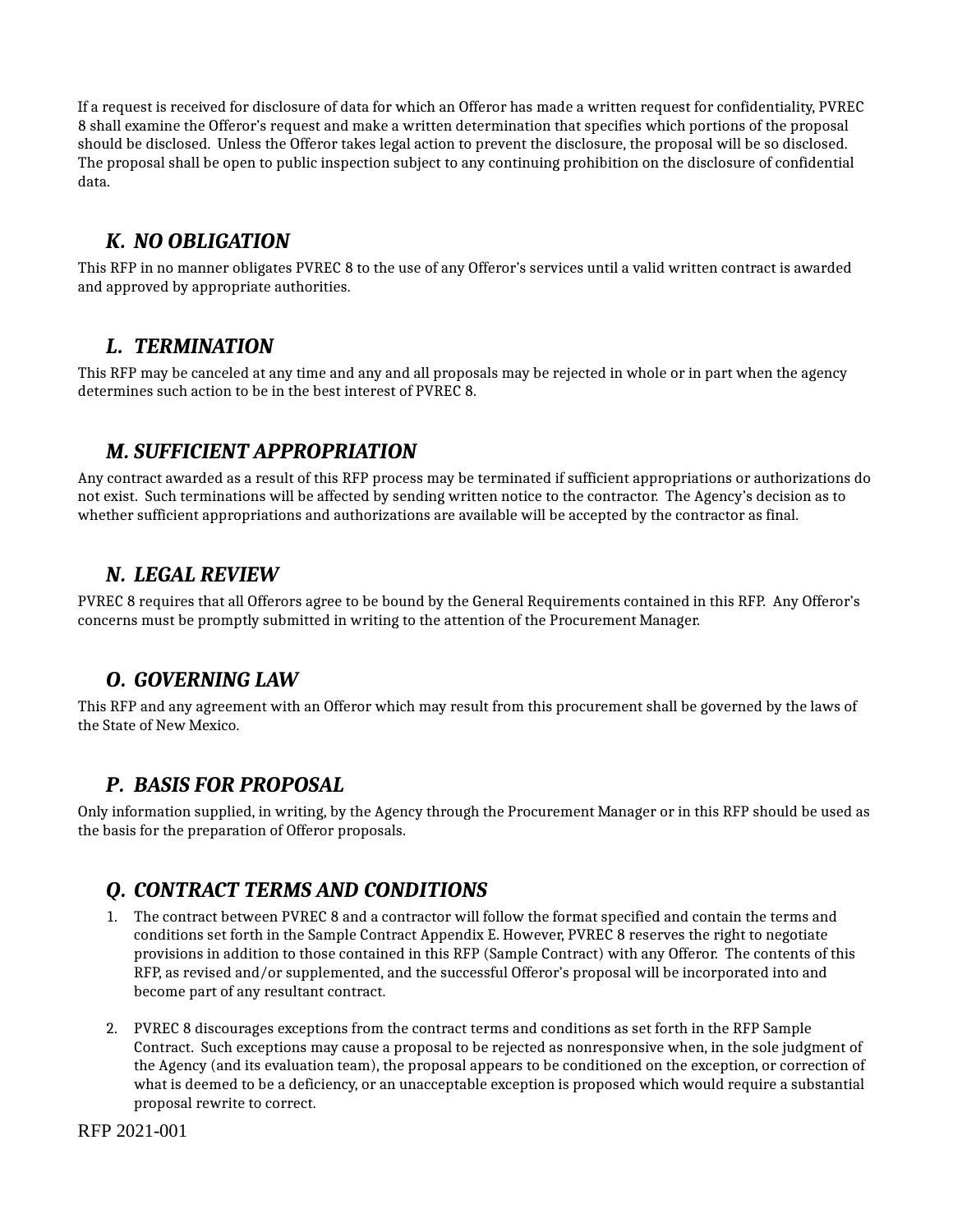If a request is received for disclosure of data for which an Offeror has made a written request for confidentiality, PVREC 8 shall examine the Offeror's request and make a written determination that specifies which portions of the proposal should be disclosed. Unless the Offeror takes legal action to prevent the disclosure, the proposal will be so disclosed. The proposal shall be open to public inspection subject to any continuing prohibition on the disclosure of confidential data.

### *K. NO OBLIGATION*

This RFP in no manner obligates PVREC 8 to the use of any Offeror's services until a valid written contract is awarded and approved by appropriate authorities.

#### *L. TERMINATION*

This RFP may be canceled at any time and any and all proposals may be rejected in whole or in part when the agency determines such action to be in the best interest of PVREC 8.

### *M. SUFFICIENT APPROPRIATION*

Any contract awarded as a result of this RFP process may be terminated if sufficient appropriations or authorizations do not exist. Such terminations will be affected by sending written notice to the contractor. The Agency's decision as to whether sufficient appropriations and authorizations are available will be accepted by the contractor as final.

#### *N. LEGAL REVIEW*

PVREC 8 requires that all Offerors agree to be bound by the General Requirements contained in this RFP. Any Offeror's concerns must be promptly submitted in writing to the attention of the Procurement Manager.

### *O. GOVERNING LAW*

This RFP and any agreement with an Offeror which may result from this procurement shall be governed by the laws of the State of New Mexico.

### *P. BASIS FOR PROPOSAL*

Only information supplied, in writing, by the Agency through the Procurement Manager or in this RFP should be used as the basis for the preparation of Offeror proposals.

### *Q. CONTRACT TERMS AND CONDITIONS*

- The contract between PVREC 8 and a contractor will follow the format specified and contain the terms and 1. conditions set forth in the Sample Contract Appendix E. However, PVREC 8 reserves the right to negotiate provisions in addition to those contained in this RFP (Sample Contract) with any Offeror. The contents of this RFP, as revised and/or supplemented, and the successful Offeror's proposal will be incorporated into and become part of any resultant contract.
- PVREC 8 discourages exceptions from the contract terms and conditions as set forth in the RFP Sample 2. Contract. Such exceptions may cause a proposal to be rejected as nonresponsive when, in the sole judgment of the Agency (and its evaluation team), the proposal appears to be conditioned on the exception, or correction of what is deemed to be a deficiency, or an unacceptable exception is proposed which would require a substantial proposal rewrite to correct.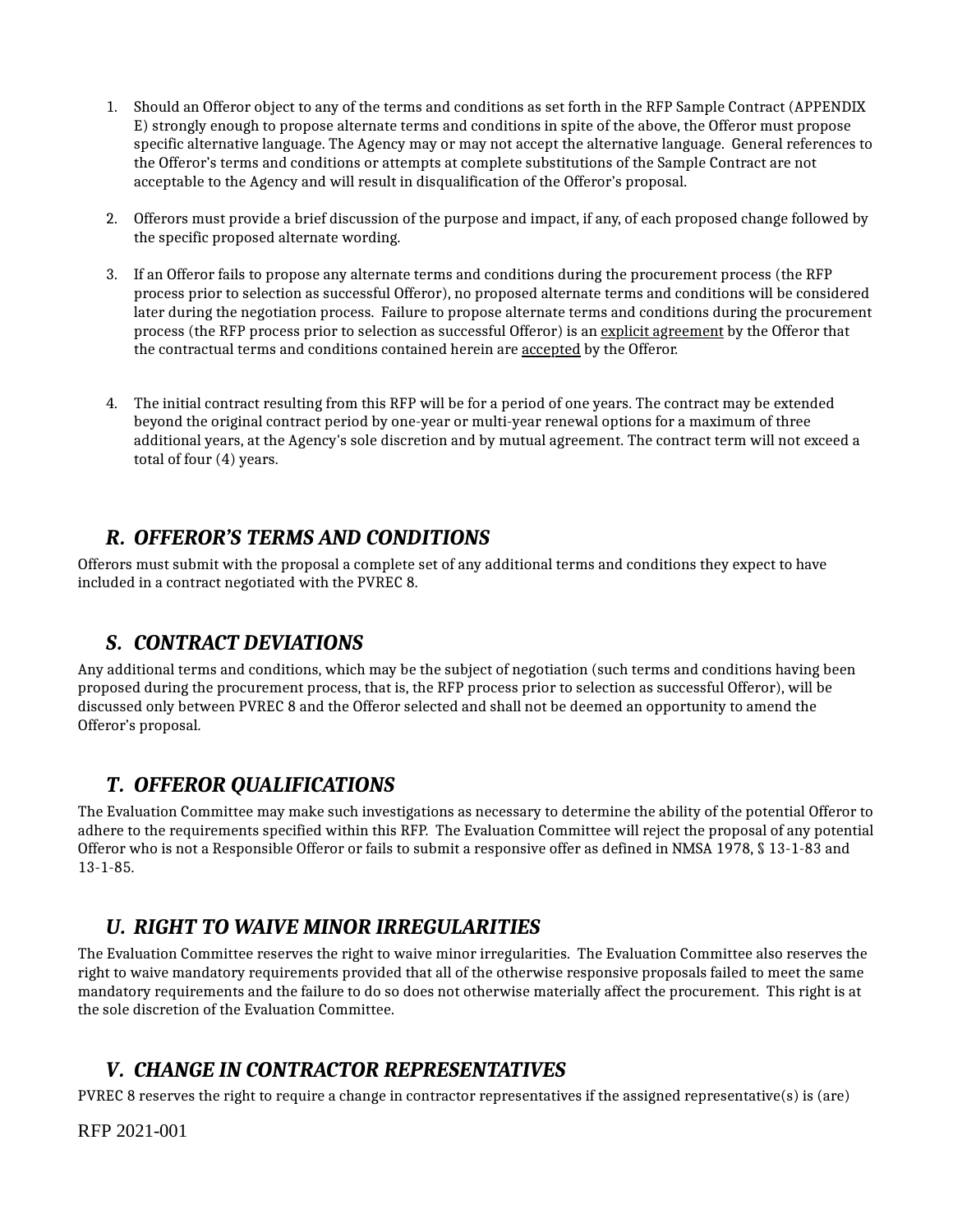- 1. Should an Offeror object to any of the terms and conditions as set forth in the RFP Sample Contract (APPENDIX E) strongly enough to propose alternate terms and conditions in spite of the above, the Offeror must propose specific alternative language. The Agency may or may not accept the alternative language. General references to the Offeror's terms and conditions or attempts at complete substitutions of the Sample Contract are not acceptable to the Agency and will result in disqualification of the Offeror's proposal.
- Offerors must provide a brief discussion of the purpose and impact, if any, of each proposed change followed by 2. the specific proposed alternate wording.
- If an Offeror fails to propose any alternate terms and conditions during the procurement process (the RFP 3. process prior to selection as successful Offeror), no proposed alternate terms and conditions will be considered later during the negotiation process. Failure to propose alternate terms and conditions during the procurement process (the RFP process prior to selection as successful Offeror) is an explicit agreement by the Offeror that the contractual terms and conditions contained herein are accepted by the Offeror.
- The initial contract resulting from this RFP will be for a period of one years. The contract may be extended 4. beyond the original contract period by one-year or multi-year renewal options for a maximum of three additional years, at the Agency's sole discretion and by mutual agreement. The contract term will not exceed a total of four (4) years.

### *R. OFFEROR'S TERMS AND CONDITIONS*

Offerors must submit with the proposal a complete set of any additional terms and conditions they expect to have included in a contract negotiated with the PVREC 8.

### *S. CONTRACT DEVIATIONS*

Any additional terms and conditions, which may be the subject of negotiation (such terms and conditions having been proposed during the procurement process, that is, the RFP process prior to selection as successful Offeror), will be discussed only between PVREC 8 and the Offeror selected and shall not be deemed an opportunity to amend the Offeror's proposal.

### *T. OFFEROR QUALIFICATIONS*

The Evaluation Committee may make such investigations as necessary to determine the ability of the potential Offeror to adhere to the requirements specified within this RFP. The Evaluation Committee will reject the proposal of any potential Offeror who is not a Responsible Offeror or fails to submit a responsive offer as defined in NMSA 1978, § 13-1-83 and 13-1-85.

### *U. RIGHT TO WAIVE MINOR IRREGULARITIES*

The Evaluation Committee reserves the right to waive minor irregularities. The Evaluation Committee also reserves the right to waive mandatory requirements provided that all of the otherwise responsive proposals failed to meet the same mandatory requirements and the failure to do so does not otherwise materially affect the procurement. This right is at the sole discretion of the Evaluation Committee.

# *V. CHANGE IN CONTRACTOR REPRESENTATIVES*

PVREC 8 reserves the right to require a change in contractor representatives if the assigned representative(s) is (are)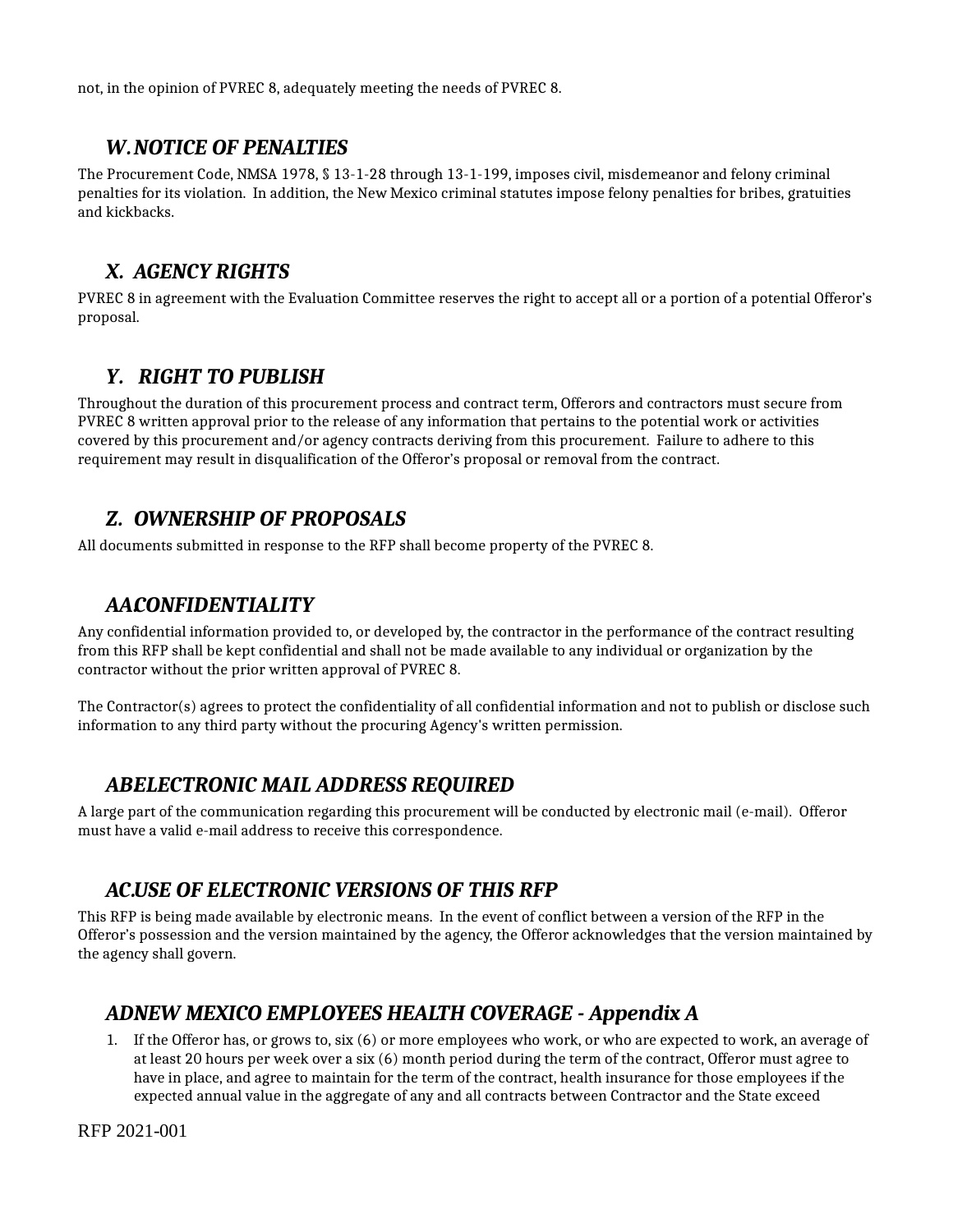not, in the opinion of PVREC 8, adequately meeting the needs of PVREC 8.

#### *W.NOTICE OF PENALTIES*

The Procurement Code, NMSA 1978, § 13-1-28 through 13-1-199, imposes civil, misdemeanor and felony criminal penalties for its violation. In addition, the New Mexico criminal statutes impose felony penalties for bribes, gratuities and kickbacks.

### *X. AGENCY RIGHTS*

PVREC 8 in agreement with the Evaluation Committee reserves the right to accept all or a portion of a potential Offeror's proposal.

### *Y. RIGHT TO PUBLISH*

Throughout the duration of this procurement process and contract term, Offerors and contractors must secure from PVREC 8 written approval prior to the release of any information that pertains to the potential work or activities covered by this procurement and/or agency contracts deriving from this procurement. Failure to adhere to this requirement may result in disqualification of the Offeror's proposal or removal from the contract.

### *Z. OWNERSHIP OF PROPOSALS*

All documents submitted in response to the RFP shall become property of the PVREC 8.

### *AA.CONFIDENTIALITY*

Any confidential information provided to, or developed by, the contractor in the performance of the contract resulting from this RFP shall be kept confidential and shall not be made available to any individual or organization by the contractor without the prior written approval of PVREC 8.

The Contractor(s) agrees to protect the confidentiality of all confidential information and not to publish or disclose such information to any third party without the procuring Agency's written permission.

### *AB.ELECTRONIC MAIL ADDRESS REQUIRED*

A large part of the communication regarding this procurement will be conducted by electronic mail (e-mail). Offeror must have a valid e-mail address to receive this correspondence.

### *AC.USE OF ELECTRONIC VERSIONS OF THIS RFP*

This RFP is being made available by electronic means. In the event of conflict between a version of the RFP in the Offeror's possession and the version maintained by the agency, the Offeror acknowledges that the version maintained by the agency shall govern.

### *ADN. EW MEXICO EMPLOYEES HEALTH COVERAGE - Appendix A*

If the Offeror has, or grows to, six (6) or more employees who work, or who are expected to work, an average of 1. at least 20 hours per week over a six (6) month period during the term of the contract, Offeror must agree to have in place, and agree to maintain for the term of the contract, health insurance for those employees if the expected annual value in the aggregate of any and all contracts between Contractor and the State exceed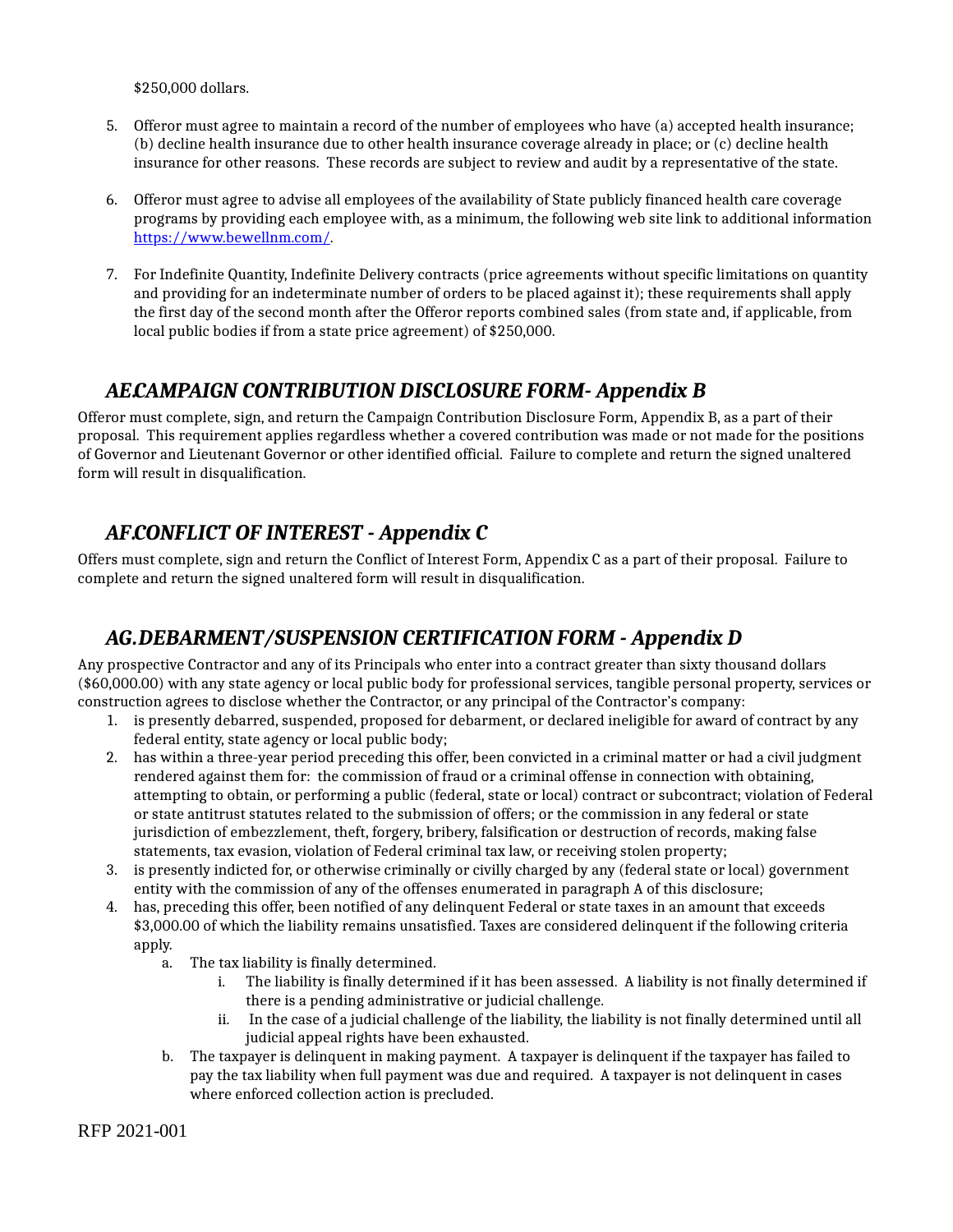\$250,000 dollars.

- Offeror must agree to maintain a record of the number of employees who have (a) accepted health insurance; 5. (b) decline health insurance due to other health insurance coverage already in place; or (c) decline health insurance for other reasons. These records are subject to review and audit by a representative of the state.
- Offeror must agree to advise all employees of the availability of State publicly financed health care coverage 6. programs by providing each employee with, as a minimum, the following web site link to additional information [https://www.bewellnm.com/](chrome-extension://bpmcpldpdmajfigpchkicefoigmkfalc/views/%20https://www.bewellnm.com/).
- For Indefinite Quantity, Indefinite Delivery contracts (price agreements without specific limitations on quantity 7. and providing for an indeterminate number of orders to be placed against it); these requirements shall apply the first day of the second month after the Offeror reports combined sales (from state and, if applicable, from local public bodies if from a state price agreement) of \$250,000.

### *AE.CAMPAIGN CONTRIBUTION DISCLOSURE FORM- Appendix B*

Offeror must complete, sign, and return the Campaign Contribution Disclosure Form, Appendix B, as a part of their proposal. This requirement applies regardless whether a covered contribution was made or not made for the positions of Governor and Lieutenant Governor or other identified official. Failure to complete and return the signed unaltered form will result in disqualification.

### *AF.CONFLICT OF INTEREST - Appendix C*

Offers must complete, sign and return the Conflict of Interest Form, Appendix C as a part of their proposal. Failure to complete and return the signed unaltered form will result in disqualification.

### *AG.DEBARMENT/SUSPENSION CERTIFICATION FORM - Appendix D*

Any prospective Contractor and any of its Principals who enter into a contract greater than sixty thousand dollars (\$60,000.00) with any state agency or local public body for professional services, tangible personal property, services or construction agrees to disclose whether the Contractor, or any principal of the Contractor's company:

- 1. is presently debarred, suspended, proposed for debarment, or declared ineligible for award of contract by any federal entity, state agency or local public body;
- has within a three-year period preceding this offer, been convicted in a criminal matter or had a civil judgment 2. rendered against them for: the commission of fraud or a criminal offense in connection with obtaining, attempting to obtain, or performing a public (federal, state or local) contract or subcontract; violation of Federal or state antitrust statutes related to the submission of offers; or the commission in any federal or state jurisdiction of embezzlement, theft, forgery, bribery, falsification or destruction of records, making false statements, tax evasion, violation of Federal criminal tax law, or receiving stolen property;
- 3. is presently indicted for, or otherwise criminally or civilly charged by any (federal state or local) government entity with the commission of any of the offenses enumerated in paragraph A of this disclosure;
- has, preceding this offer, been notified of any delinquent Federal or state taxes in an amount that exceeds 4. \$3,000.00 of which the liability remains unsatisfied. Taxes are considered delinquent if the following criteria apply.
	- a. The tax liability is finally determined.
		- The liability is finally determined if it has been assessed. A liability is not finally determined if there is a pending administrative or judicial challenge. i.
		- In the case of a judicial challenge of the liability, the liability is not finally determined until all judicial appeal rights have been exhausted. ii.
	- The taxpayer is delinquent in making payment. A taxpayer is delinquent if the taxpayer has failed to b. pay the tax liability when full payment was due and required. A taxpayer is not delinquent in cases where enforced collection action is precluded.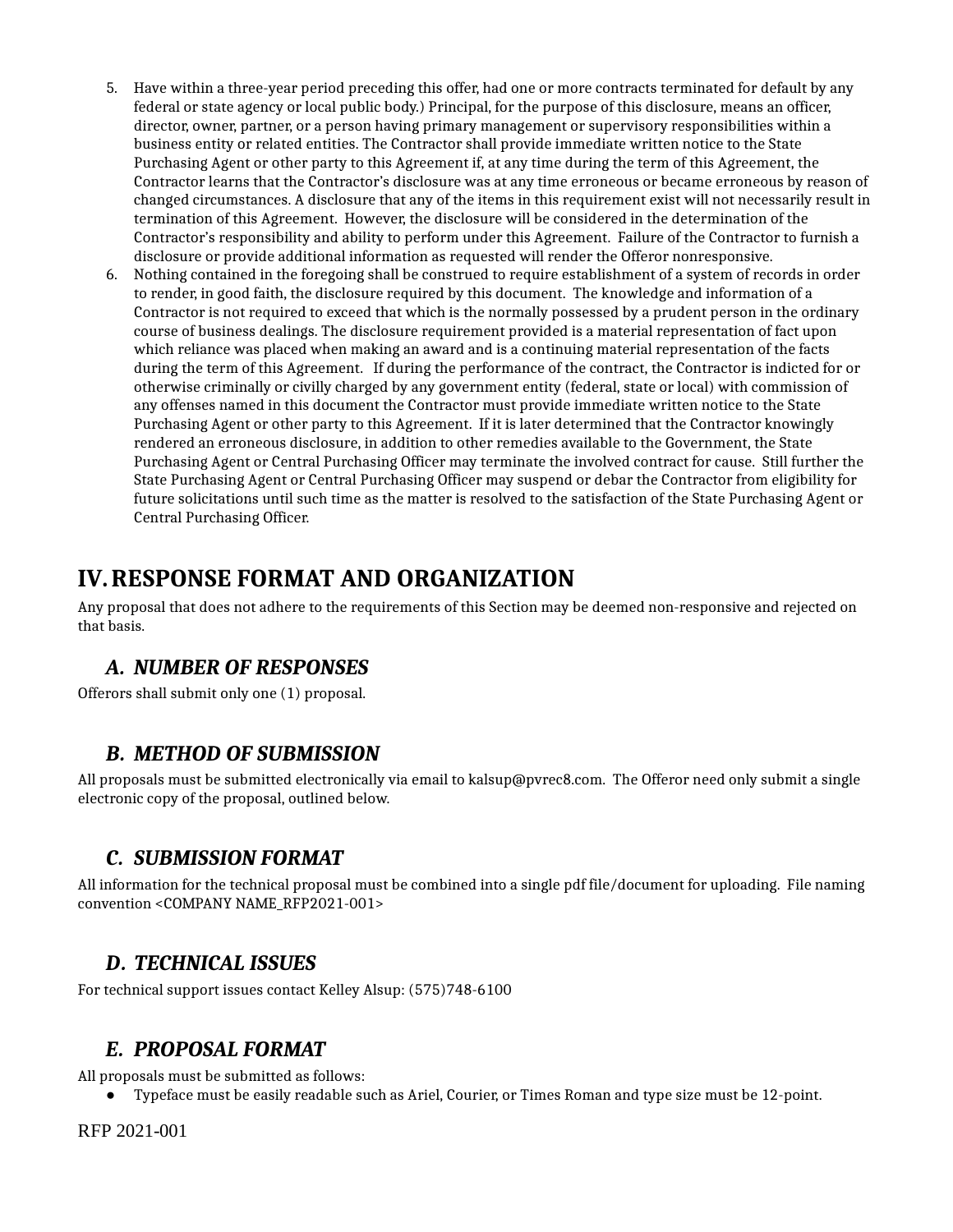- 5. Have within a three-year period preceding this offer, had one or more contracts terminated for default by any federal or state agency or local public body.) Principal, for the purpose of this disclosure, means an officer, director, owner, partner, or a person having primary management or supervisory responsibilities within a business entity or related entities. The Contractor shall provide immediate written notice to the State Purchasing Agent or other party to this Agreement if, at any time during the term of this Agreement, the Contractor learns that the Contractor's disclosure was at any time erroneous or became erroneous by reason of changed circumstances. A disclosure that any of the items in this requirement exist will not necessarily result in termination of this Agreement. However, the disclosure will be considered in the determination of the Contractor's responsibility and ability to perform under this Agreement. Failure of the Contractor to furnish a disclosure or provide additional information as requested will render the Offeror nonresponsive.
- Nothing contained in the foregoing shall be construed to require establishment of a system of records in order 6. to render, in good faith, the disclosure required by this document. The knowledge and information of a Contractor is not required to exceed that which is the normally possessed by a prudent person in the ordinary course of business dealings. The disclosure requirement provided is a material representation of fact upon which reliance was placed when making an award and is a continuing material representation of the facts during the term of this Agreement. If during the performance of the contract, the Contractor is indicted for or otherwise criminally or civilly charged by any government entity (federal, state or local) with commission of any offenses named in this document the Contractor must provide immediate written notice to the State Purchasing Agent or other party to this Agreement. If it is later determined that the Contractor knowingly rendered an erroneous disclosure, in addition to other remedies available to the Government, the State Purchasing Agent or Central Purchasing Officer may terminate the involved contract for cause. Still further the State Purchasing Agent or Central Purchasing Officer may suspend or debar the Contractor from eligibility for future solicitations until such time as the matter is resolved to the satisfaction of the State Purchasing Agent or Central Purchasing Officer.

# **IV.RESPONSE FORMAT AND ORGANIZATION**

Any proposal that does not adhere to the requirements of this Section may be deemed non-responsive and rejected on that basis.

### *A. NUMBER OF RESPONSES*

Offerors shall submit only one (1) proposal.

#### *B. METHOD OF SUBMISSION*

All proposals must be submitted electronically via email to kalsup@pvrec8.com. The Offeror need only submit a single electronic copy of the proposal, outlined below.

### *C. SUBMISSION FORMAT*

All information for the technical proposal must be combined into a single pdf file/document for uploading. File naming convention <COMPANY NAME\_RFP2021-001>

#### *D. TECHNICAL ISSUES*

For technical support issues contact Kelley Alsup: (575)748-6100

### *E. PROPOSAL FORMAT*

All proposals must be submitted as follows:

● Typeface must be easily readable such as Ariel, Courier, or Times Roman and type size must be 12-point.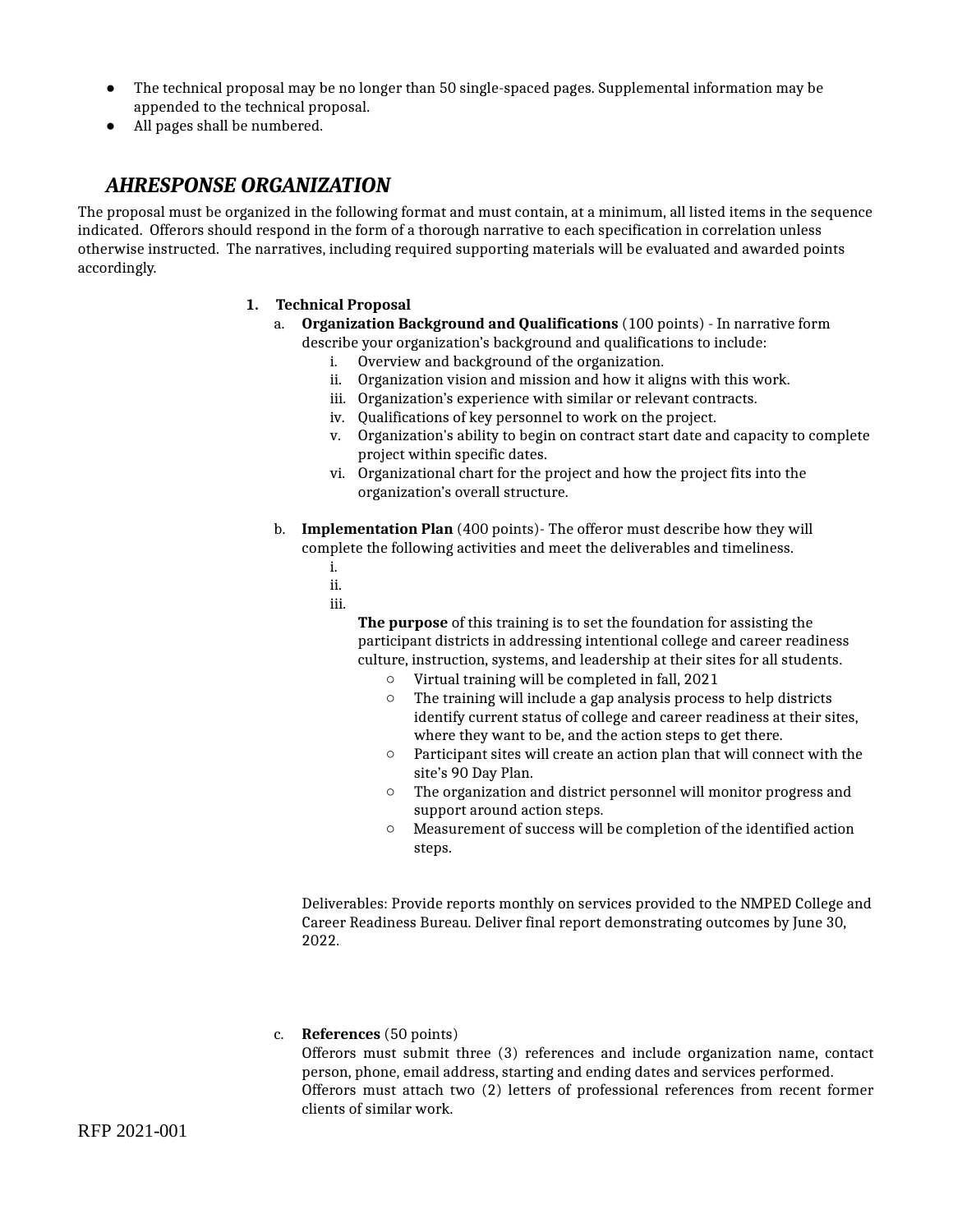- The technical proposal may be no longer than 50 single-spaced pages. Supplemental information may be appended to the technical proposal. ●
- All pages shall be numbered.

#### *AHR. ESPONSE ORGANIZATION*

The proposal must be organized in the following format and must contain, at a minimum, all listed items in the sequence indicated. Offerors should respond in the form of a thorough narrative to each specification in correlation unless otherwise instructed. The narratives, including required supporting materials will be evaluated and awarded points accordingly.

#### **1. Technical Proposal**

- **Organization Background and Qualifications** (100 points) In narrative form a. describe your organization's background and qualifications to include:
	- i. Overview and background of the organization.
	- ii. Organization vision and mission and how it aligns with this work.
	- iii. Organization's experience with similar or relevant contracts.
	- iv. Qualifications of key personnel to work on the project.
	- Organization's ability to begin on contract start date and capacity to complete v. project within specific dates.
	- vi. Organizational chart for the project and how the project fits into the organization's overall structure.
- **Implementation Plan** (400 points)- The offeror must describe how they will b. complete the following activities and meet the deliverables and timeliness.
	- i.
	- ii.
	- iii.

**The purpose** of this training is to set the foundation for assisting the participant districts in addressing intentional college and career readiness culture, instruction, systems, and leadership at their sites for all students.

- Virtual training will be completed in fall, 2021
- The training will include a gap analysis process to help districts identify current status of college and career readiness at their sites, where they want to be, and the action steps to get there.  $\circ$
- Participant sites will create an action plan that will connect with the site's 90 Day Plan.  $\circ$
- The organization and district personnel will monitor progress and support around action steps.
- Measurement of success will be completion of the identified action steps.  $\circ$

Deliverables: Provide reports monthly on services provided to the NMPED College and Career Readiness Bureau. Deliver final report demonstrating outcomes by June 30, 2022.

#### c. **References** (50 points)

Offerors must submit three (3) references and include organization name, contact person, phone, email address, starting and ending dates and services performed. Offerors must attach two (2) letters of professional references from recent former clients of similar work.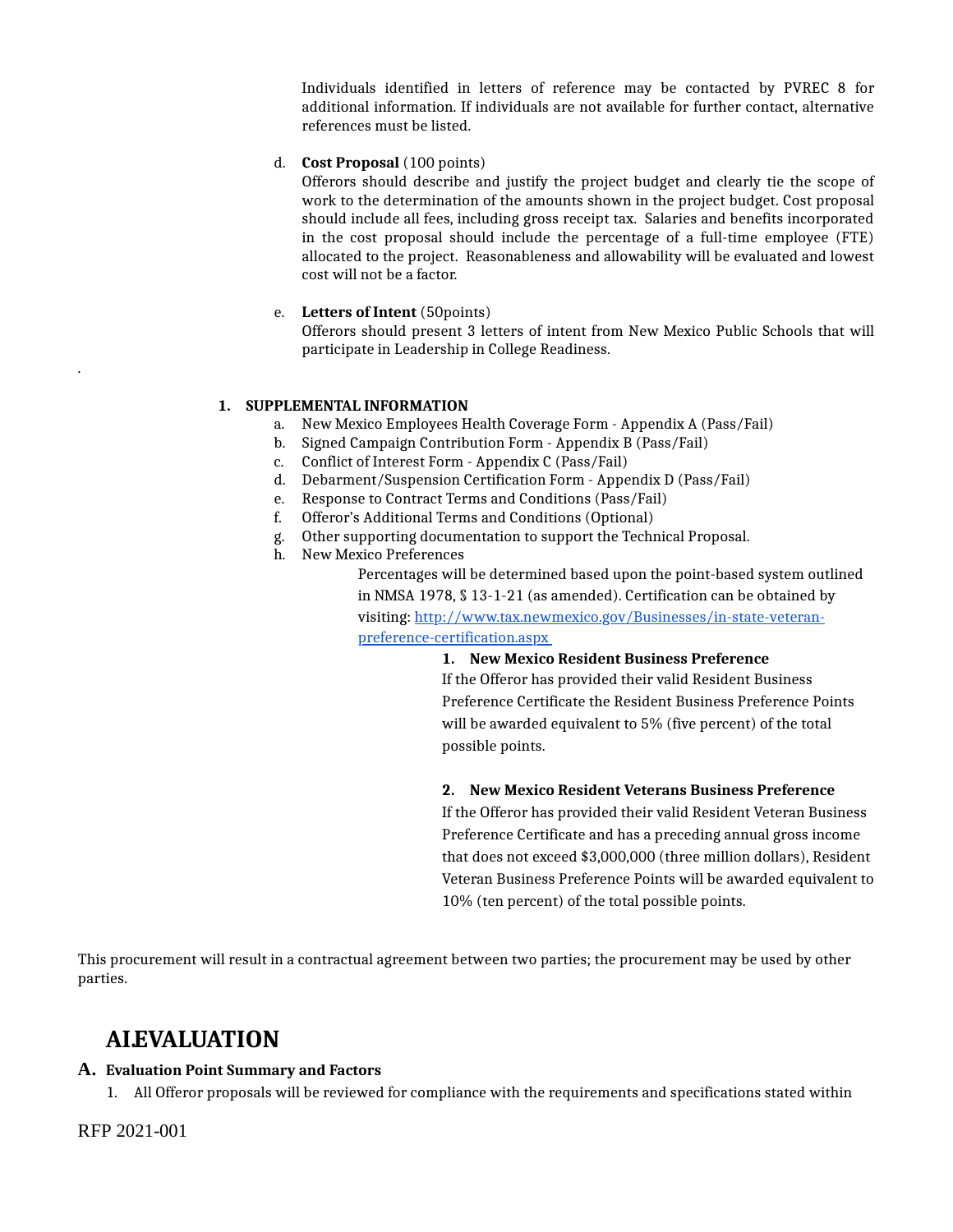Individuals identified in letters of reference may be contacted by PVREC 8 for additional information. If individuals are not available for further contact, alternative references must be listed.

#### d. **Cost Proposal** (100 points)

Offerors should describe and justify the project budget and clearly tie the scope of work to the determination of the amounts shown in the project budget. Cost proposal should include all fees, including gross receipt tax. Salaries and benefits incorporated in the cost proposal should include the percentage of a full-time employee (FTE) allocated to the project. Reasonableness and allowability will be evaluated and lowest cost will not be a factor.

#### e. **Letters of Intent** (50points)

Offerors should present 3 letters of intent from New Mexico Public Schools that will participate in Leadership in College Readiness.

#### **1. SUPPLEMENTAL INFORMATION**

- a. New Mexico Employees Health Coverage Form Appendix A (Pass/Fail)
- b. Signed Campaign Contribution Form Appendix B (Pass/Fail)
- c. Conflict of Interest Form Appendix C (Pass/Fail)
- d. Debarment/Suspension Certification Form Appendix D (Pass/Fail)
- e. Response to Contract Terms and Conditions (Pass/Fail)
- f. Offeror's Additional Terms and Conditions (Optional)
- g. Other supporting documentation to support the Technical Proposal.
- h. New Mexico Preferences

Percentages will be determined based upon the point-based system outlined in NMSA 1978, § 13-1-21 (as amended). Certification can be obtained by visiting: [http://www.tax.newmexico.gov/Businesses/in-state-veteran](http://www.tax.newmexico.gov/Businesses/in-state-veteran-preference-certification.aspx)preference-certification.aspx

#### **1. New Mexico Resident Business Preference**

If the Offeror has provided their valid Resident Business Preference Certificate the Resident Business Preference Points will be awarded equivalent to 5% (five percent) of the total possible points.

#### **2. New Mexico Resident Veterans Business Preference**

If the Offeror has provided their valid Resident Veteran Business Preference Certificate and has a preceding annual gross income that does not exceed \$3,000,000 (three million dollars), Resident Veteran Business Preference Points will be awarded equivalent to 10% (ten percent) of the total possible points.

This procurement will result in a contractual agreement between two parties; the procurement may be used by other parties.

### **AI.EVALUATION**

#### **A. Evaluation Point Summary and Factors**

1. All Offeror proposals will be reviewed for compliance with the requirements and specifications stated within

RFP 2021-001

.